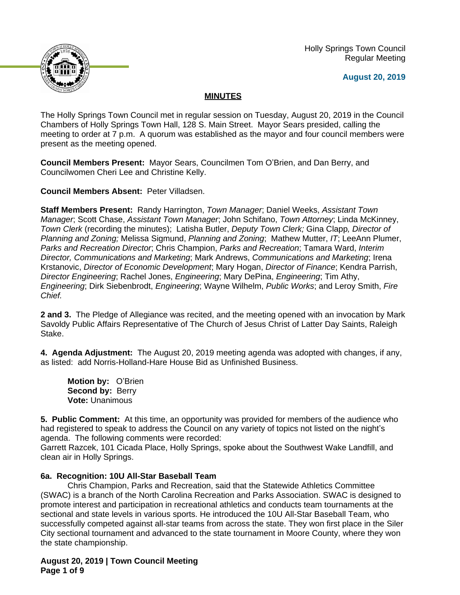

 Holly Springs Town Council Regular Meeting

**August 20, 2019**

# **MINUTES**

The Holly Springs Town Council met in regular session on Tuesday, August 20, 2019 in the Council Chambers of Holly Springs Town Hall, 128 S. Main Street. Mayor Sears presided, calling the meeting to order at 7 p.m. A quorum was established as the mayor and four council members were present as the meeting opened.

**Council Members Present:** Mayor Sears, Councilmen Tom O'Brien, and Dan Berry, and Councilwomen Cheri Lee and Christine Kelly.

**Council Members Absent:** Peter Villadsen.

**Staff Members Present:** Randy Harrington, *Town Manager*; Daniel Weeks, *Assistant Town Manager*; Scott Chase, *Assistant Town Manager*; John Schifano, *Town Attorney*; Linda McKinney, *Town Clerk* (recording the minutes); Latisha Butler, *Deputy Town Clerk;* Gina Clapp*, Director of Planning and Zoning;* Melissa Sigmund, *Planning and Zoning*; Mathew Mutter, *IT*; LeeAnn Plumer, *Parks and Recreation Director*; Chris Champion, *Parks and Recreation*; Tamara Ward, *Interim Director, Communications and Marketing*; Mark Andrews, *Communications and Marketing*; Irena Krstanovic, *Director of Economic Development*; Mary Hogan, *Director of Finance*; Kendra Parrish, *Director Engineering*; Rachel Jones, *Engineering*; Mary DePina, *Engineering*; Tim Athy, *Engineering*; Dirk Siebenbrodt, *Engineering*; Wayne Wilhelm, *Public Works*; and Leroy Smith, *Fire Chief.*

**2 and 3.** The Pledge of Allegiance was recited, and the meeting opened with an invocation by Mark Savoldy Public Affairs Representative of The Church of Jesus Christ of Latter Day Saints, Raleigh Stake.

**4. Agenda Adjustment:** The August 20, 2019 meeting agenda was adopted with changes, if any, as listed: add Norris-Holland-Hare House Bid as Unfinished Business.

**Motion by:** O'Brien **Second by: Berry Vote:** Unanimous

**5. Public Comment:** At this time, an opportunity was provided for members of the audience who had registered to speak to address the Council on any variety of topics not listed on the night's agenda. The following comments were recorded:

Garrett Razcek, 101 Cicada Place, Holly Springs, spoke about the Southwest Wake Landfill, and clean air in Holly Springs.

## **6a. Recognition: 10U All-Star Baseball Team**

Chris Champion, Parks and Recreation, said that the Statewide Athletics Committee (SWAC) is a branch of the North Carolina Recreation and Parks Association. SWAC is designed to promote interest and participation in recreational athletics and conducts team tournaments at the sectional and state levels in various sports. He introduced the 10U All-Star Baseball Team, who successfully competed against all-star teams from across the state. They won first place in the Siler City sectional tournament and advanced to the state tournament in Moore County, where they won the state championship.

**August 20, 2019 | Town Council Meeting Page 1 of 9**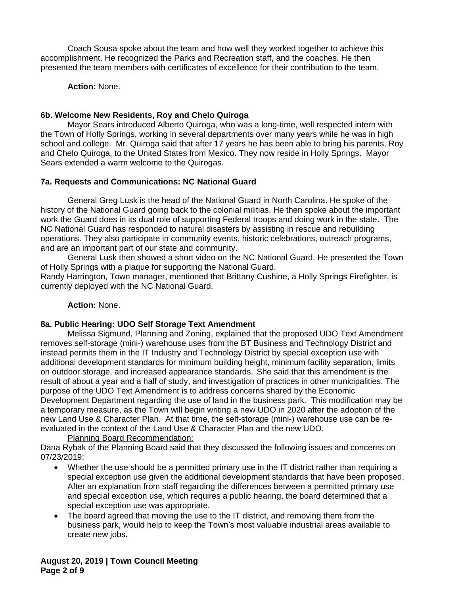Coach Sousa spoke about the team and how well they worked together to achieve this accomplishment. He recognized the Parks and Recreation staff, and the coaches. He then presented the team members with certificates of excellence for their contribution to the team.

**Action:** None.

### **6b. Welcome New Residents, Roy and Chelo Quiroga**

Mayor Sears introduced Alberto Quiroga, who was a long-time, well respected intern with the Town of Holly Springs, working in several departments over many years while he was in high school and college. Mr. Quiroga said that after 17 years he has been able to bring his parents, Roy and Chelo Quiroga, to the United States from Mexico. They now reside in Holly Springs. Mayor Sears extended a warm welcome to the Quirogas.

## **7a. Requests and Communications: NC National Guard**

General Greg Lusk is the head of the National Guard in North Carolina. He spoke of the history of the National Guard going back to the colonial militias. He then spoke about the important work the Guard does in its dual role of supporting Federal troops and doing work in the state. The NC National Guard has responded to natural disasters by assisting in rescue and rebuilding operations. They also participate in community events, historic celebrations, outreach programs, and are an important part of our state and community.

General Lusk then showed a short video on the NC National Guard. He presented the Town of Holly Springs with a plaque for supporting the National Guard.

Randy Harrington, Town manager, mentioned that Brittany Cushine, a Holly Springs Firefighter, is currently deployed with the NC National Guard.

### **Action:** None.

### **8a. Public Hearing: UDO Self Storage Text Amendment**

Melissa Sigmund, Planning and Zoning, explained that the proposed UDO Text Amendment removes self-storage (mini-) warehouse uses from the BT Business and Technology District and instead permits them in the IT Industry and Technology District by special exception use with additional development standards for minimum building height, minimum facility separation, limits on outdoor storage, and increased appearance standards. She said that this amendment is the result of about a year and a half of study, and investigation of practices in other municipalities. The purpose of the UDO Text Amendment is to address concerns shared by the Economic Development Department regarding the use of land in the business park. This modification may be a temporary measure, as the Town will begin writing a new UDO in 2020 after the adoption of the new Land Use & Character Plan. At that time, the self-storage (mini-) warehouse use can be reevaluated in the context of the Land Use & Character Plan and the new UDO.

Planning Board Recommendation:

Dana Rybak of the Planning Board said that they discussed the following issues and concerns on 07/23/2019:

- Whether the use should be a permitted primary use in the IT district rather than requiring a special exception use given the additional development standards that have been proposed. After an explanation from staff regarding the differences between a permitted primary use and special exception use, which requires a public hearing, the board determined that a special exception use was appropriate.
- The board agreed that moving the use to the IT district, and removing them from the business park, would help to keep the Town's most valuable industrial areas available to create new jobs.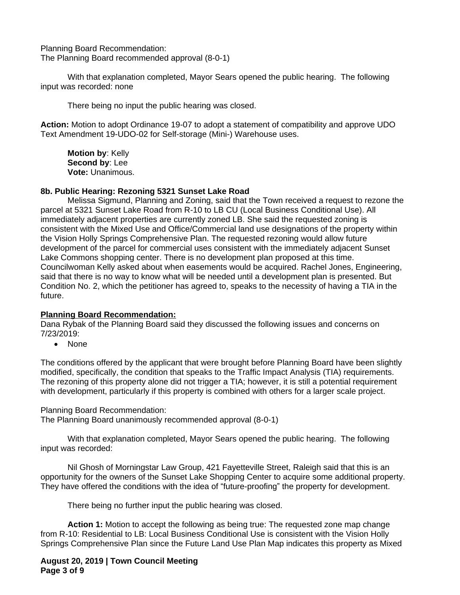Planning Board Recommendation: The Planning Board recommended approval (8-0-1)

With that explanation completed, Mayor Sears opened the public hearing. The following input was recorded: none

There being no input the public hearing was closed.

**Action:** Motion to adopt Ordinance 19-07 to adopt a statement of compatibility and approve UDO Text Amendment 19-UDO-02 for Self-storage (Mini-) Warehouse uses.

**Motion by**: Kelly **Second by**: Lee **Vote:** Unanimous.

## **8b. Public Hearing: Rezoning 5321 Sunset Lake Road**

Melissa Sigmund, Planning and Zoning, said that the Town received a request to rezone the parcel at 5321 Sunset Lake Road from R-10 to LB CU (Local Business Conditional Use). All immediately adjacent properties are currently zoned LB. She said the requested zoning is consistent with the Mixed Use and Office/Commercial land use designations of the property within the Vision Holly Springs Comprehensive Plan. The requested rezoning would allow future development of the parcel for commercial uses consistent with the immediately adjacent Sunset Lake Commons shopping center. There is no development plan proposed at this time. Councilwoman Kelly asked about when easements would be acquired. Rachel Jones, Engineering, said that there is no way to know what will be needed until a development plan is presented. But Condition No. 2, which the petitioner has agreed to, speaks to the necessity of having a TIA in the future.

### **Planning Board Recommendation:**

Dana Rybak of the Planning Board said they discussed the following issues and concerns on 7/23/2019:

• None

The conditions offered by the applicant that were brought before Planning Board have been slightly modified, specifically, the condition that speaks to the Traffic Impact Analysis (TIA) requirements. The rezoning of this property alone did not trigger a TIA; however, it is still a potential requirement with development, particularly if this property is combined with others for a larger scale project.

Planning Board Recommendation:

The Planning Board unanimously recommended approval (8-0-1)

With that explanation completed, Mayor Sears opened the public hearing. The following input was recorded:

Nil Ghosh of Morningstar Law Group, 421 Fayetteville Street, Raleigh said that this is an opportunity for the owners of the Sunset Lake Shopping Center to acquire some additional property. They have offered the conditions with the idea of "future-proofing" the property for development.

There being no further input the public hearing was closed.

**Action 1:** Motion to accept the following as being true: The requested zone map change from R-10: Residential to LB: Local Business Conditional Use is consistent with the Vision Holly Springs Comprehensive Plan since the Future Land Use Plan Map indicates this property as Mixed

**August 20, 2019 | Town Council Meeting Page 3 of 9**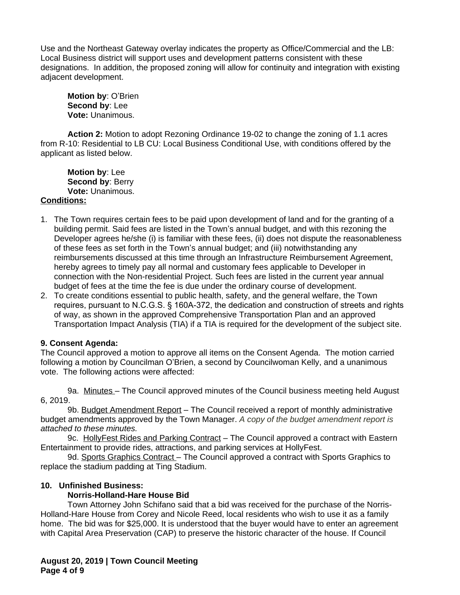Use and the Northeast Gateway overlay indicates the property as Office/Commercial and the LB: Local Business district will support uses and development patterns consistent with these designations. In addition, the proposed zoning will allow for continuity and integration with existing adjacent development.

**Motion by**: O'Brien **Second by**: Lee **Vote:** Unanimous.

**Action 2:** Motion to adopt Rezoning Ordinance 19-02 to change the zoning of 1.1 acres from R-10: Residential to LB CU: Local Business Conditional Use, with conditions offered by the applicant as listed below.

**Motion by**: Lee **Second by**: Berry **Vote:** Unanimous.

## **Conditions:**

- 1. The Town requires certain fees to be paid upon development of land and for the granting of a building permit. Said fees are listed in the Town's annual budget, and with this rezoning the Developer agrees he/she (i) is familiar with these fees, (ii) does not dispute the reasonableness of these fees as set forth in the Town's annual budget; and (iii) notwithstanding any reimbursements discussed at this time through an Infrastructure Reimbursement Agreement, hereby agrees to timely pay all normal and customary fees applicable to Developer in connection with the Non-residential Project. Such fees are listed in the current year annual budget of fees at the time the fee is due under the ordinary course of development.
- 2. To create conditions essential to public health, safety, and the general welfare, the Town requires, pursuant to N.C.G.S. § 160A-372, the dedication and construction of streets and rights of way, as shown in the approved Comprehensive Transportation Plan and an approved Transportation Impact Analysis (TIA) if a TIA is required for the development of the subject site.

## **9. Consent Agenda:**

The Council approved a motion to approve all items on the Consent Agenda. The motion carried following a motion by Councilman O'Brien, a second by Councilwoman Kelly, and a unanimous vote. The following actions were affected:

9a. Minutes – The Council approved minutes of the Council business meeting held August 6, 2019.

9b. Budget Amendment Report – The Council received a report of monthly administrative budget amendments approved by the Town Manager. *A copy of the budget amendment report is attached to these minutes.*

9c. HollyFest Rides and Parking Contract – The Council approved a contract with Eastern Entertainment to provide rides, attractions, and parking services at HollyFest.

9d. Sports Graphics Contract - The Council approved a contract with Sports Graphics to replace the stadium padding at Ting Stadium.

## **10. Unfinished Business:**

## **Norris-Holland-Hare House Bid**

Town Attorney John Schifano said that a bid was received for the purchase of the Norris-Holland-Hare House from Corey and Nicole Reed, local residents who wish to use it as a family home. The bid was for \$25,000. It is understood that the buyer would have to enter an agreement with Capital Area Preservation (CAP) to preserve the historic character of the house. If Council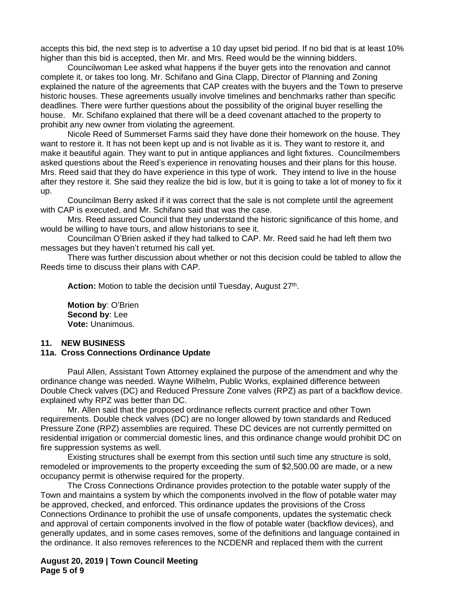accepts this bid, the next step is to advertise a 10 day upset bid period. If no bid that is at least 10% higher than this bid is accepted, then Mr. and Mrs. Reed would be the winning bidders.

Councilwoman Lee asked what happens if the buyer gets into the renovation and cannot complete it, or takes too long. Mr. Schifano and Gina Clapp, Director of Planning and Zoning explained the nature of the agreements that CAP creates with the buyers and the Town to preserve historic houses. These agreements usually involve timelines and benchmarks rather than specific deadlines. There were further questions about the possibility of the original buyer reselling the house. Mr. Schifano explained that there will be a deed covenant attached to the property to prohibit any new owner from violating the agreement.

Nicole Reed of Summerset Farms said they have done their homework on the house. They want to restore it. It has not been kept up and is not livable as it is. They want to restore it, and make it beautiful again. They want to put in antique appliances and light fixtures. Councilmembers asked questions about the Reed's experience in renovating houses and their plans for this house. Mrs. Reed said that they do have experience in this type of work. They intend to live in the house after they restore it. She said they realize the bid is low, but it is going to take a lot of money to fix it up.

Councilman Berry asked if it was correct that the sale is not complete until the agreement with CAP is executed, and Mr. Schifano said that was the case.

Mrs. Reed assured Council that they understand the historic significance of this home, and would be willing to have tours, and allow historians to see it.

Councilman O'Brien asked if they had talked to CAP. Mr. Reed said he had left them two messages but they haven't returned his call yet.

There was further discussion about whether or not this decision could be tabled to allow the Reeds time to discuss their plans with CAP.

Action: Motion to table the decision until Tuesday, August 27<sup>th</sup>.

**Motion by**: O'Brien **Second by**: Lee **Vote:** Unanimous.

#### **11. NEW BUSINESS**

#### **11a. Cross Connections Ordinance Update**

Paul Allen, Assistant Town Attorney explained the purpose of the amendment and why the ordinance change was needed. Wayne Wilhelm, Public Works, explained difference between Double Check valves (DC) and Reduced Pressure Zone valves (RPZ) as part of a backflow device. explained why RPZ was better than DC.

Mr. Allen said that the proposed ordinance reflects current practice and other Town requirements. Double check valves (DC) are no longer allowed by town standards and Reduced Pressure Zone (RPZ) assemblies are required. These DC devices are not currently permitted on residential irrigation or commercial domestic lines, and this ordinance change would prohibit DC on fire suppression systems as well.

Existing structures shall be exempt from this section until such time any structure is sold, remodeled or improvements to the property exceeding the sum of \$2,500.00 are made, or a new occupancy permit is otherwise required for the property.

The Cross Connections Ordinance provides protection to the potable water supply of the Town and maintains a system by which the components involved in the flow of potable water may be approved, checked, and enforced. This ordinance updates the provisions of the Cross Connections Ordinance to prohibit the use of unsafe components, updates the systematic check and approval of certain components involved in the flow of potable water (backflow devices), and generally updates, and in some cases removes, some of the definitions and language contained in the ordinance. It also removes references to the NCDENR and replaced them with the current

**August 20, 2019 | Town Council Meeting Page 5 of 9**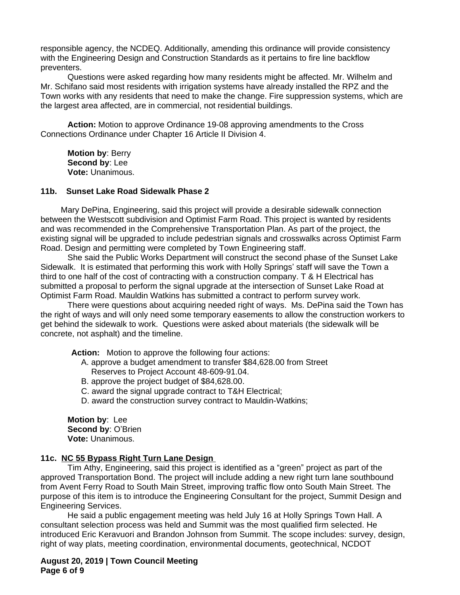responsible agency, the NCDEQ. Additionally, amending this ordinance will provide consistency with the Engineering Design and Construction Standards as it pertains to fire line backflow preventers.

Questions were asked regarding how many residents might be affected. Mr. Wilhelm and Mr. Schifano said most residents with irrigation systems have already installed the RPZ and the Town works with any residents that need to make the change. Fire suppression systems, which are the largest area affected, are in commercial, not residential buildings.

**Action:** Motion to approve Ordinance 19-08 approving amendments to the Cross Connections Ordinance under Chapter 16 Article II Division 4.

**Motion by**: Berry **Second by**: Lee **Vote:** Unanimous.

#### **11b. Sunset Lake Road Sidewalk Phase 2**

Mary DePina, Engineering, said this project will provide a desirable sidewalk connection between the Westscott subdivision and Optimist Farm Road. This project is wanted by residents and was recommended in the Comprehensive Transportation Plan. As part of the project, the existing signal will be upgraded to include pedestrian signals and crosswalks across Optimist Farm Road. Design and permitting were completed by Town Engineering staff.

She said the Public Works Department will construct the second phase of the Sunset Lake Sidewalk. It is estimated that performing this work with Holly Springs' staff will save the Town a third to one half of the cost of contracting with a construction company. T & H Electrical has submitted a proposal to perform the signal upgrade at the intersection of Sunset Lake Road at Optimist Farm Road. Mauldin Watkins has submitted a contract to perform survey work.

There were questions about acquiring needed right of ways. Ms. DePina said the Town has the right of ways and will only need some temporary easements to allow the construction workers to get behind the sidewalk to work. Questions were asked about materials (the sidewalk will be concrete, not asphalt) and the timeline.

**Action:** Motion to approve the following four actions:

- A. approve a budget amendment to transfer \$84,628.00 from Street Reserves to Project Account 48-609-91.04.
- B. approve the project budget of \$84,628.00.
- C. award the signal upgrade contract to T&H Electrical;
- D. award the construction survey contract to Mauldin-Watkins;

**Motion by**: Lee **Second by**: O'Brien **Vote:** Unanimous.

#### **11c. NC 55 Bypass Right Turn Lane Design**

Tim Athy, Engineering, said this project is identified as a "green" project as part of the approved Transportation Bond. The project will include adding a new right turn lane southbound from Avent Ferry Road to South Main Street, improving traffic flow onto South Main Street. The purpose of this item is to introduce the Engineering Consultant for the project, Summit Design and Engineering Services.

He said a public engagement meeting was held July 16 at Holly Springs Town Hall. A consultant selection process was held and Summit was the most qualified firm selected. He introduced Eric Keravuori and Brandon Johnson from Summit. The scope includes: survey, design, right of way plats, meeting coordination, environmental documents, geotechnical, NCDOT

**August 20, 2019 | Town Council Meeting Page 6 of 9**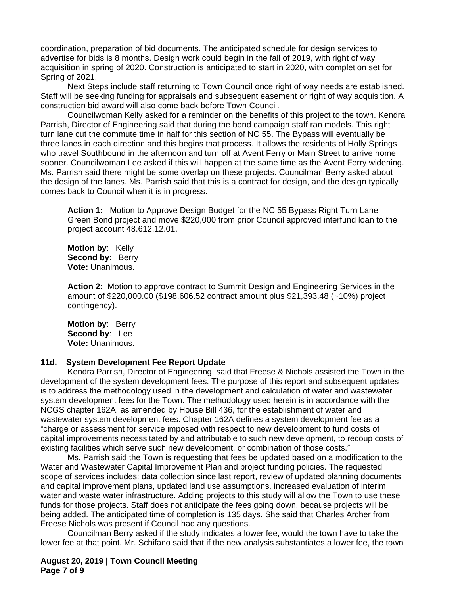coordination, preparation of bid documents. The anticipated schedule for design services to advertise for bids is 8 months. Design work could begin in the fall of 2019, with right of way acquisition in spring of 2020. Construction is anticipated to start in 2020, with completion set for Spring of 2021.

Next Steps include staff returning to Town Council once right of way needs are established. Staff will be seeking funding for appraisals and subsequent easement or right of way acquisition. A construction bid award will also come back before Town Council.

Councilwoman Kelly asked for a reminder on the benefits of this project to the town. Kendra Parrish, Director of Engineering said that during the bond campaign staff ran models. This right turn lane cut the commute time in half for this section of NC 55. The Bypass will eventually be three lanes in each direction and this begins that process. It allows the residents of Holly Springs who travel Southbound in the afternoon and turn off at Avent Ferry or Main Street to arrive home sooner. Councilwoman Lee asked if this will happen at the same time as the Avent Ferry widening. Ms. Parrish said there might be some overlap on these projects. Councilman Berry asked about the design of the lanes. Ms. Parrish said that this is a contract for design, and the design typically comes back to Council when it is in progress.

**Action 1:** Motion to Approve Design Budget for the NC 55 Bypass Right Turn Lane Green Bond project and move \$220,000 from prior Council approved interfund loan to the project account 48.612.12.01.

**Motion by**: Kelly **Second by**: Berry **Vote:** Unanimous.

**Action 2:** Motion to approve contract to Summit Design and Engineering Services in the amount of \$220,000.00 (\$198,606.52 contract amount plus \$21,393.48 (~10%) project contingency).

**Motion by**: Berry **Second by**: Lee **Vote:** Unanimous.

#### **11d. System Development Fee Report Update**

Kendra Parrish, Director of Engineering, said that Freese & Nichols assisted the Town in the development of the system development fees. The purpose of this report and subsequent updates is to address the methodology used in the development and calculation of water and wastewater system development fees for the Town. The methodology used herein is in accordance with the NCGS chapter 162A, as amended by House Bill 436, for the establishment of water and wastewater system development fees. Chapter 162A defines a system development fee as a "charge or assessment for service imposed with respect to new development to fund costs of capital improvements necessitated by and attributable to such new development, to recoup costs of existing facilities which serve such new development, or combination of those costs."

Ms. Parrish said the Town is requesting that fees be updated based on a modification to the Water and Wastewater Capital Improvement Plan and project funding policies. The requested scope of services includes: data collection since last report, review of updated planning documents and capital improvement plans, updated land use assumptions, increased evaluation of interim water and waste water infrastructure. Adding projects to this study will allow the Town to use these funds for those projects. Staff does not anticipate the fees going down, because projects will be being added. The anticipated time of completion is 135 days. She said that Charles Archer from Freese Nichols was present if Council had any questions.

Councilman Berry asked if the study indicates a lower fee, would the town have to take the lower fee at that point. Mr. Schifano said that if the new analysis substantiates a lower fee, the town

**August 20, 2019 | Town Council Meeting Page 7 of 9**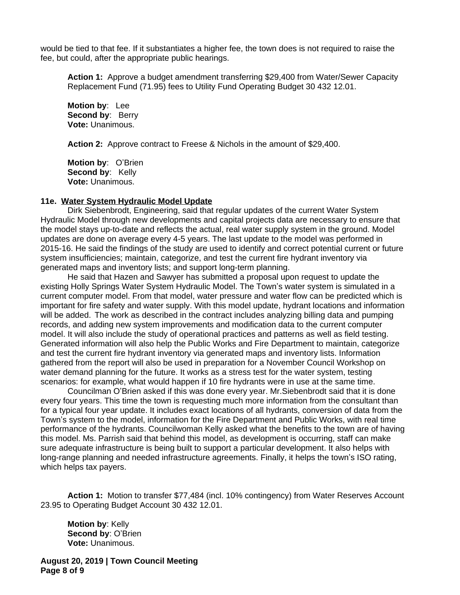would be tied to that fee. If it substantiates a higher fee, the town does is not required to raise the fee, but could, after the appropriate public hearings.

**Action 1:** Approve a budget amendment transferring \$29,400 from Water/Sewer Capacity Replacement Fund (71.95) fees to Utility Fund Operating Budget 30 432 12.01.

**Motion by**: Lee **Second by: Berry Vote:** Unanimous.

**Action 2:** Approve contract to Freese & Nichols in the amount of \$29,400.

**Motion by**: O'Brien Second by: Kelly **Vote:** Unanimous.

#### **11e. Water System Hydraulic Model Update**

Dirk Siebenbrodt, Engineering, said that regular updates of the current Water System Hydraulic Model through new developments and capital projects data are necessary to ensure that the model stays up-to-date and reflects the actual, real water supply system in the ground. Model updates are done on average every 4-5 years. The last update to the model was performed in 2015-16. He said the findings of the study are used to identify and correct potential current or future system insufficiencies; maintain, categorize, and test the current fire hydrant inventory via generated maps and inventory lists; and support long-term planning.

He said that Hazen and Sawyer has submitted a proposal upon request to update the existing Holly Springs Water System Hydraulic Model. The Town's water system is simulated in a current computer model. From that model, water pressure and water flow can be predicted which is important for fire safety and water supply. With this model update, hydrant locations and information will be added. The work as described in the contract includes analyzing billing data and pumping records, and adding new system improvements and modification data to the current computer model. It will also include the study of operational practices and patterns as well as field testing. Generated information will also help the Public Works and Fire Department to maintain, categorize and test the current fire hydrant inventory via generated maps and inventory lists. Information gathered from the report will also be used in preparation for a November Council Workshop on water demand planning for the future. It works as a stress test for the water system, testing scenarios: for example, what would happen if 10 fire hydrants were in use at the same time.

Councilman O'Brien asked if this was done every year. Mr.Siebenbrodt said that it is done every four years. This time the town is requesting much more information from the consultant than for a typical four year update. It includes exact locations of all hydrants, conversion of data from the Town's system to the model, information for the Fire Department and Public Works, with real time performance of the hydrants. Councilwoman Kelly asked what the benefits to the town are of having this model. Ms. Parrish said that behind this model, as development is occurring, staff can make sure adequate infrastructure is being built to support a particular development. It also helps with long-range planning and needed infrastructure agreements. Finally, it helps the town's ISO rating, which helps tax payers.

**Action 1:** Motion to transfer \$77,484 (incl. 10% contingency) from Water Reserves Account 23.95 to Operating Budget Account 30 432 12.01.

**Motion by**: Kelly **Second by**: O'Brien **Vote:** Unanimous.

**August 20, 2019 | Town Council Meeting Page 8 of 9**